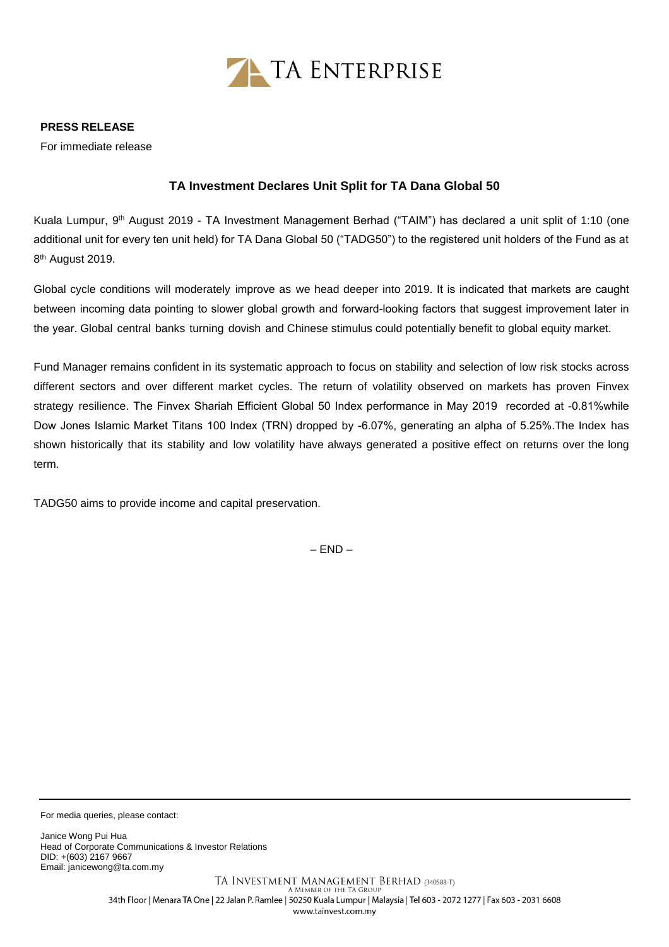

## **PRESS RELEASE**

For immediate release

## **TA Investment Declares Unit Split for TA Dana Global 50**

Kuala Lumpur, 9<sup>th</sup> August 2019 - TA Investment Management Berhad ("TAIM") has declared a unit split of 1:10 (one additional unit for every ten unit held) for TA Dana Global 50 ("TADG50") to the registered unit holders of the Fund as at 8<sup>th</sup> August 2019.

Global cycle conditions will moderately improve as we head deeper into 2019. It is indicated that markets are caught between incoming data pointing to slower global growth and forward-looking factors that suggest improvement later in the year. Global central banks turning dovish and Chinese stimulus could potentially benefit to global equity market.

Fund Manager remains confident in its systematic approach to focus on stability and selection of low risk stocks across different sectors and over different market cycles. The return of volatility observed on markets has proven Finvex strategy resilience. The Finvex Shariah Efficient Global 50 Index performance in May 2019 recorded at -0.81%while Dow Jones Islamic Market Titans 100 Index (TRN) dropped by -6.07%, generating an alpha of 5.25%.The Index has shown historically that its stability and low volatility have always generated a positive effect on returns over the long term.

TADG50 aims to provide income and capital preservation.

 $-$  END  $-$ 

For media queries, please contact:

Janice Wong Pui Hua Head of Corporate Communications & Investor Relations DID: +(603) 2167 9667 Email[: janicewong@ta.com.my](mailto:janicewong@ta.com.my)